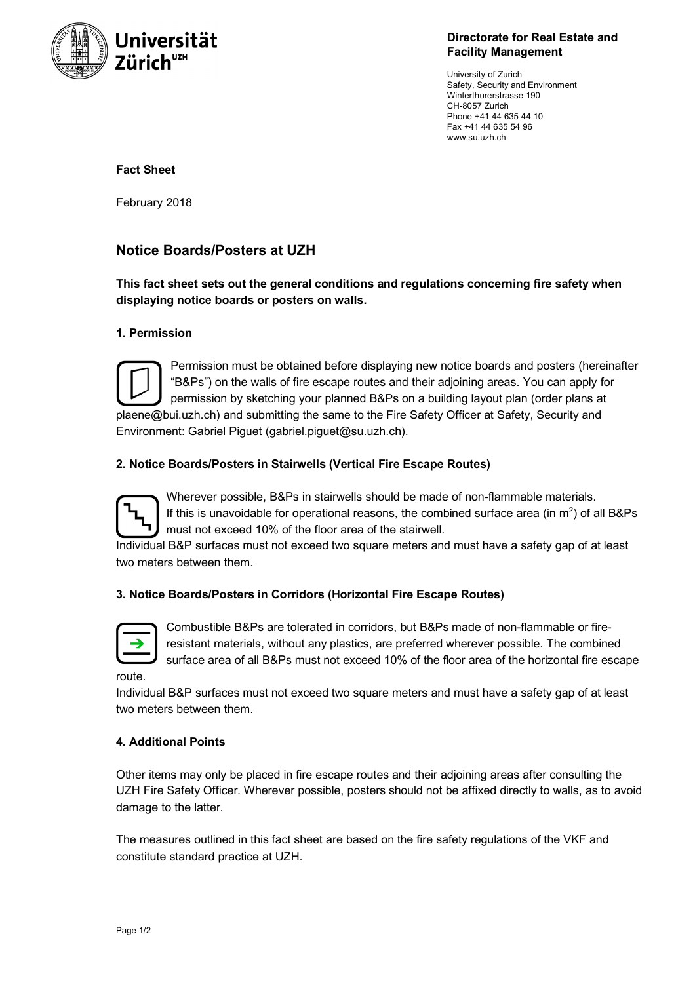

**Directorate for Real Estate and Facility Management**

University of Zurich Safety, Security and Environment Winterthurerstrasse 190 CH-8057 Zurich Phone +41 44 635 44 10 Fax +41 44 635 54 96 www.su.uzh.ch

## **Fact Sheet**

February 2018

# **Notice Boards/Posters at UZH**

**This fact sheet sets out the general conditions and regulations concerning fire safety when displaying notice boards or posters on walls.**

### **1. Permission**



Permission must be obtained before displaying new notice boards and posters (hereinafter "B&Ps") on the walls of fire escape routes and their adjoining areas. You can apply for permission by sketching your planned B&Ps on a building layout plan (order plans at plaene@bui.uzh.ch) and submitting the same to the Fire Safety Officer at Safety, Security and Environment: Gabriel Piguet (gabriel.piguet@su.uzh.ch).

## **2. Notice Boards/Posters in Stairwells (Vertical Fire Escape Routes)**



Wherever possible, B&Ps in stairwells should be made of non-flammable materials. If this is unavoidable for operational reasons, the combined surface area (in  $m<sup>2</sup>$ ) of all B&Ps must not exceed 10% of the floor area of the stairwell.

Individual B&P surfaces must not exceed two square meters and must have a safety gap of at least two meters between them.

## **3. Notice Boards/Posters in Corridors (Horizontal Fire Escape Routes)**



Combustible B&Ps are tolerated in corridors, but B&Ps made of non-flammable or fireresistant materials, without any plastics, are preferred wherever possible. The combined surface area of all B&Ps must not exceed 10% of the floor area of the horizontal fire escape

route.

Individual B&P surfaces must not exceed two square meters and must have a safety gap of at least two meters between them.

## **4. Additional Points**

Other items may only be placed in fire escape routes and their adjoining areas after consulting the UZH Fire Safety Officer. Wherever possible, posters should not be affixed directly to walls, as to avoid damage to the latter.

The measures outlined in this fact sheet are based on the fire safety regulations of the VKF and constitute standard practice at UZH.